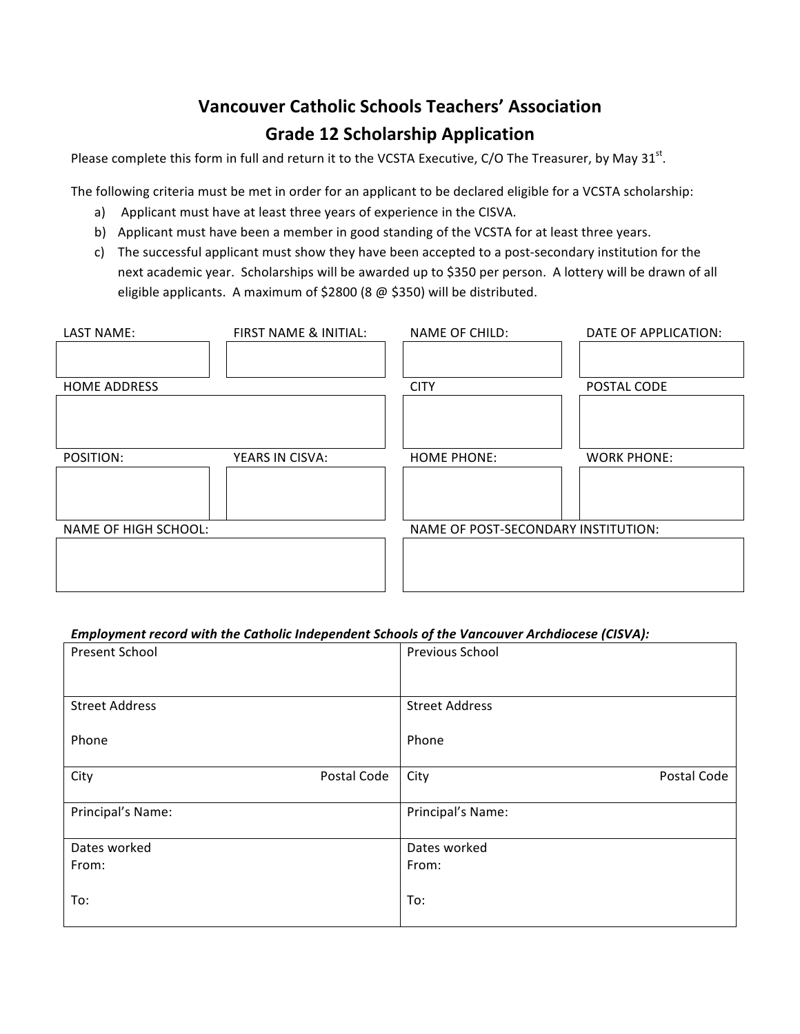## **Vancouver Catholic Schools Teachers' Association Grade 12 Scholarship Application**

Please complete this form in full and return it to the VCSTA Executive, C/O The Treasurer, by May 31<sup>st</sup>.

The following criteria must be met in order for an applicant to be declared eligible for a VCSTA scholarship:

- a) Applicant must have at least three years of experience in the CISVA.
- b) Applicant must have been a member in good standing of the VCSTA for at least three years.
- c) The successful applicant must show they have been accepted to a post-secondary institution for the next academic year. Scholarships will be awarded up to \$350 per person. A lottery will be drawn of all eligible applicants. A maximum of \$2800 (8  $@$  \$350) will be distributed.

| LAST NAME:                  | FIRST NAME & INITIAL: | NAME OF CHILD:                      | DATE OF APPLICATION: |
|-----------------------------|-----------------------|-------------------------------------|----------------------|
|                             |                       |                                     |                      |
| <b>HOME ADDRESS</b>         |                       | <b>CITY</b>                         | POSTAL CODE          |
|                             |                       |                                     |                      |
|                             |                       |                                     |                      |
| POSITION:                   | YEARS IN CISVA:       | <b>HOME PHONE:</b>                  | <b>WORK PHONE:</b>   |
|                             |                       |                                     |                      |
|                             |                       |                                     |                      |
| <b>NAME OF HIGH SCHOOL:</b> |                       | NAME OF POST-SECONDARY INSTITUTION: |                      |
|                             |                       |                                     |                      |
|                             |                       |                                     |                      |
|                             |                       |                                     |                      |

## Employment record with the Catholic Independent Schools of the Vancouver Archdiocese (CISVA):

| Present School        |             | Previous School       |             |
|-----------------------|-------------|-----------------------|-------------|
|                       |             |                       |             |
|                       |             |                       |             |
|                       |             |                       |             |
| <b>Street Address</b> |             | <b>Street Address</b> |             |
|                       |             |                       |             |
|                       |             |                       |             |
| Phone                 |             | Phone                 |             |
|                       |             |                       |             |
| City                  | Postal Code | City                  | Postal Code |
|                       |             |                       |             |
|                       |             |                       |             |
| Principal's Name:     |             | Principal's Name:     |             |
|                       |             |                       |             |
| Dates worked          |             | Dates worked          |             |
| From:                 |             | From:                 |             |
|                       |             |                       |             |
|                       |             |                       |             |
| To:                   |             | To:                   |             |
|                       |             |                       |             |
|                       |             |                       |             |